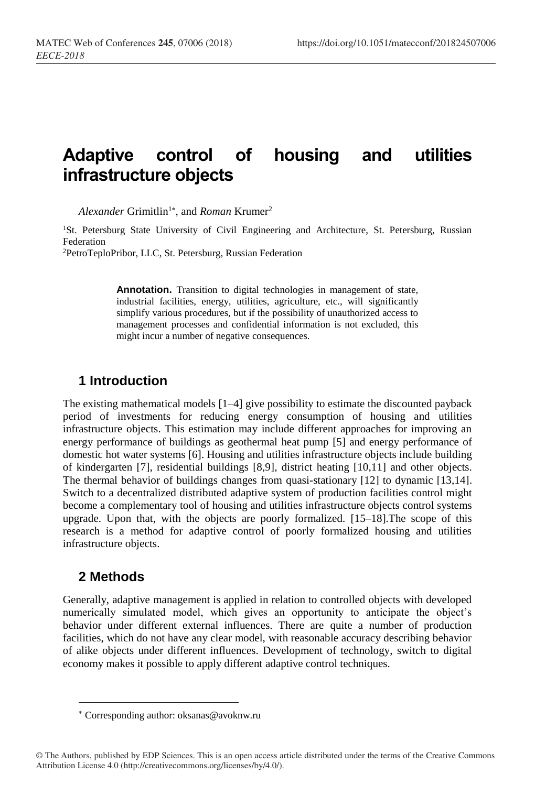# **Adaptive control of housing and utilities infrastructure objects**

Alexander Grimitlin<sup>1\*</sup>, and *Roman* Krumer<sup>2</sup>

<sup>1</sup>St. Petersburg State University of Civil Engineering and Architecture, St. Petersburg, Russian Federation

<sup>2</sup>PetroTeploPribor, LLC, St. Petersburg, Russian Federation

**Annotation.** Transition to digital technologies in management of state, industrial facilities, energy, utilities, agriculture, etc., will significantly simplify various procedures, but if the possibility of unauthorized access to management processes and confidential information is not excluded, this might incur a number of negative consequences.

### **1 Introduction**

The existing mathematical models [1–4] give possibility to estimate the discounted payback period of investments for reducing energy consumption of housing and utilities infrastructure objects. This estimation may include different approaches for improving an energy performance of buildings as geothermal heat pump [5] and energy performance of domestic hot water systems [6]. Housing and utilities infrastructure objects include building of kindergarten [7], residential buildings [8,9], district heating [10,11] and other objects. The thermal behavior of buildings changes from quasi-stationary [12] to dynamic [13,14]. Switch to a decentralized distributed adaptive system of production facilities control might become a complementary tool of housing and utilities infrastructure objects control systems upgrade. Upon that, with the objects are poorly formalized. [15–18].The scope of this research is a method for adaptive control of poorly formalized housing and utilities infrastructure objects.

### **2 Methods**

-

Generally, adaptive management is applied in relation to controlled objects with developed numerically simulated model, which gives an opportunity to anticipate the object's behavior under different external influences. There are quite a number of production facilities, which do not have any clear model, with reasonable accuracy describing behavior of alike objects under different influences. Development of technology, switch to digital economy makes it possible to apply different adaptive control techniques.

Corresponding author: oksanas@avoknw.ru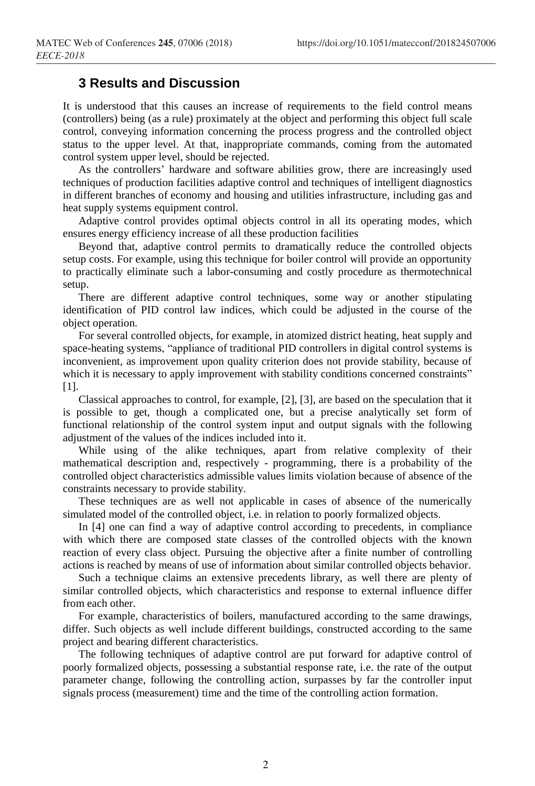## **3 Results and Discussion**

It is understood that this causes an increase of requirements to the field control means (controllers) being (as a rule) proximately at the object and performing this object full scale control, conveying information concerning the process progress and the controlled object status to the upper level. At that, inappropriate commands, coming from the automated control system upper level, should be rejected.

As the controllers' hardware and software abilities grow, there are increasingly used techniques of production facilities adaptive control and techniques of intelligent diagnostics in different branches of economy and housing and utilities infrastructure, including gas and heat supply systems equipment control.

Adaptive control provides optimal objects control in all its operating modes, which ensures energy efficiency increase of all these production facilities

Beyond that, adaptive control permits to dramatically reduce the controlled objects setup costs. For example, using this technique for boiler control will provide an opportunity to practically eliminate such a labor-consuming and costly procedure as thermotechnical setup.

There are different adaptive control techniques, some way or another stipulating identification of PID control law indices, which could be adjusted in the course of the object operation.

For several controlled objects, for example, in atomized district heating, heat supply and space-heating systems, "appliance of traditional PID controllers in digital control systems is inconvenient, as improvement upon quality criterion does not provide stability, because of which it is necessary to apply improvement with stability conditions concerned constraints" [1].

Classical approaches to control, for example, [2], [3], are based on the speculation that it is possible to get, though a complicated one, but a precise analytically set form of functional relationship of the control system input and output signals with the following adjustment of the values of the indices included into it.

While using of the alike techniques, apart from relative complexity of their mathematical description and, respectively - programming, there is a probability of the controlled object characteristics admissible values limits violation because of absence of the constraints necessary to provide stability.

These techniques are as well not applicable in cases of absence of the numerically simulated model of the controlled object, i.e. in relation to poorly formalized objects.

In [4] one can find a way of adaptive control according to precedents, in compliance with which there are composed state classes of the controlled objects with the known reaction of every class object. Pursuing the objective after a finite number of controlling actions is reached by means of use of information about similar controlled objects behavior.

Such a technique claims an extensive precedents library, as well there are plenty of similar controlled objects, which characteristics and response to external influence differ from each other.

For example, characteristics of boilers, manufactured according to the same drawings, differ. Such objects as well include different buildings, constructed according to the same project and bearing different characteristics.

The following techniques of adaptive control are put forward for adaptive control of poorly formalized objects, possessing a substantial response rate, i.e. the rate of the output parameter change, following the controlling action, surpasses by far the controller input signals process (measurement) time and the time of the controlling action formation.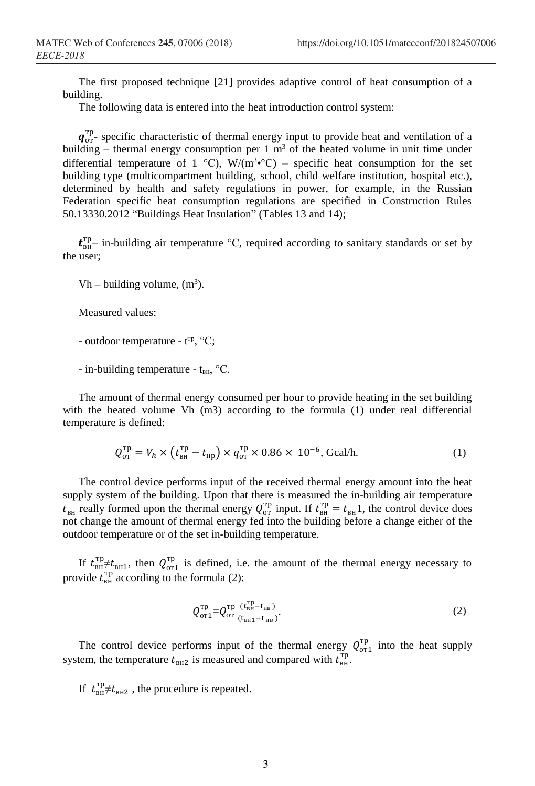The first proposed technique [21] provides adaptive control of heat consumption of a building.

The following data is entered into the heat introduction control system:

 $q_{\text{or}}^{\text{rp}}$  specific characteristic of thermal energy input to provide heat and ventilation of a building – thermal energy consumption per 1  $m<sup>3</sup>$  of the heated volume in unit time under differential temperature of 1 °C),  $W/(m^3 \cdot ^{\circ}C)$  – specific heat consumption for the set building type (multicompartment building, school, child welfare institution, hospital etc.), determined by health and safety regulations in power, for example, in the Russian Federation specific heat consumption regulations are specified in Construction Rules 50.13330.2012 "Buildings Heat Insulation" (Tables 13 and 14);

 $t_{\text{BH}}^{\text{rp}}$  in-building air temperature °C, required according to sanitary standards or set by the user;

 $Vh$  – building volume,  $(m^3)$ .

Measured values:

- outdoor temperature t<sup>rp</sup>, °C;
- in-building temperature  $t_{BH}$ , °C.

The amount of thermal energy consumed per hour to provide heating in the set building with the heated volume Vh (m3) according to the formula (1) under real differential temperature is defined:

$$
Q_{\text{or}}^{\text{TP}} = V_h \times \left( t_{\text{BH}}^{\text{TP}} - t_{\text{HP}} \right) \times q_{\text{or}}^{\text{TP}} \times 0.86 \times 10^{-6}, \text{Gcal/h.}
$$
 (1)

The control device performs input of the received thermal energy amount into the heat supply system of the building. Upon that there is measured the in-building air temperature  $t_{\text{BH}}$  really formed upon the thermal energy  $Q_{\text{or}}^{\text{rp}}$  input. If  $t_{\text{BH}}^{\text{rp}} = t_{\text{BH}}$ 1, the control device does not change the amount of thermal energy fed into the building before a change either of the outdoor temperature or of the set in-building temperature.

If  $t_{BH}^{\text{TP}} \neq t_{BH1}$ , then  $Q_{\text{OT}}^{\text{TP}}$  is defined, i.e. the amount of the thermal energy necessary to provide  $t_{\text{BH}}^{\text{TP}}$  according to the formula (2):

$$
Q_{\text{or}1}^{\text{TP}} = Q_{\text{or}}^{\text{TP}} \frac{\left(t_{\text{BH}}^{\text{TP}} - t_{\text{HB}}\right)}{\left(t_{\text{BH}1} - t_{\text{HB}}\right)}.\tag{2}
$$

The control device performs input of the thermal energy  $Q_{\text{or}1}^{\text{rp}}$  into the heat supply system, the temperature  $t_{\text{BH2}}$  is measured and compared with  $t_{\text{BH}}^{\text{TP}}$ .

If  $t_{\text{BH}}^{\text{TP}} \neq t_{\text{BH2}}$ , the procedure is repeated.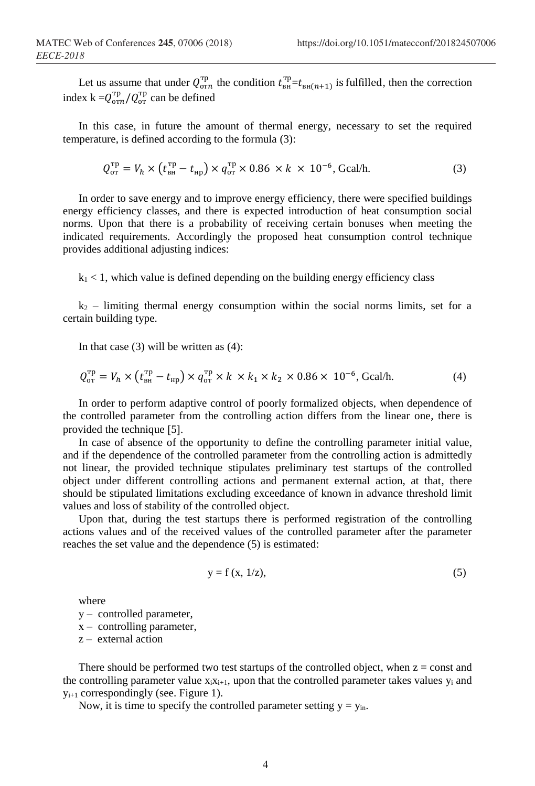Let us assume that under  $Q_{\text{orm}}^{\text{TP}}$  the condition  $t_{\text{BH}}^{\text{TP}} = t_{\text{BH}(n+1)}$  is fulfilled, then the correction index  $k = Q_{\text{or}n}^{\text{rp}} / Q_{\text{or}}^{\text{rp}}$  can be defined

In this case, in future the amount of thermal energy, necessary to set the required temperature, is defined according to the formula (3):

$$
Q_{\text{or}}^{\text{TP}} = V_h \times \left( t_{\text{BH}}^{\text{TP}} - t_{\text{HP}} \right) \times q_{\text{or}}^{\text{TP}} \times 0.86 \times k \times 10^{-6}, \text{Gcal/h.}
$$
 (3)

In order to save energy and to improve energy efficiency, there were specified buildings energy efficiency classes, and there is expected introduction of heat consumption social norms. Upon that there is a probability of receiving certain bonuses when meeting the indicated requirements. Accordingly the proposed heat consumption control technique provides additional adjusting indices:

 $k_1 < 1$ , which value is defined depending on the building energy efficiency class

 $k_2$  – limiting thermal energy consumption within the social norms limits, set for a certain building type.

In that case  $(3)$  will be written as  $(4)$ :

$$
Q_{\text{or}}^{\text{TP}} = V_h \times \left( t_{\text{BH}}^{\text{TP}} - t_{\text{HP}} \right) \times q_{\text{or}}^{\text{TP}} \times k \times k_1 \times k_2 \times 0.86 \times 10^{-6}, \text{Gcal/h.}
$$
 (4)

In order to perform adaptive control of poorly formalized objects, when dependence of the controlled parameter from the controlling action differs from the linear one, there is provided the technique [5].

In case of absence of the opportunity to define the controlling parameter initial value, and if the dependence of the controlled parameter from the controlling action is admittedly not linear, the provided technique stipulates preliminary test startups of the controlled object under different controlling actions and permanent external action, at that, there should be stipulated limitations excluding exceedance of known in advance threshold limit values and loss of stability of the controlled object.

Upon that, during the test startups there is performed registration of the controlling actions values and of the received values of the controlled parameter after the parameter reaches the set value and the dependence (5) is estimated:

$$
y = f(x, 1/z), \tag{5}
$$

where

 $y -$  controlled parameter,

 $x -$  controlling parameter,

 $z -$  external action

There should be performed two test startups of the controlled object, when  $z = const$  and the controlling parameter value  $x_i x_{i+1}$ , upon that the controlled parameter takes values  $y_i$  and  $y_{i+1}$  correspondingly (see. Figure 1).

Now, it is time to specify the controlled parameter setting  $y = y_{in}$ .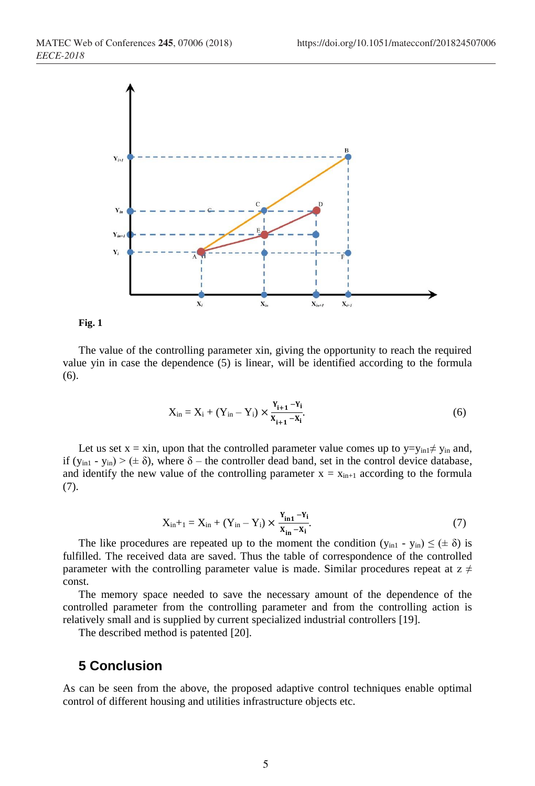



The value of the controlling parameter xin, giving the opportunity to reach the required value yin in case the dependence (5) is linear, will be identified according to the formula (6).

$$
X_{in} = X_i + (Y_{in} - Y_i) \times \frac{Y_{i+1} - Y_i}{X_{i+1} - X_i}.
$$
 (6)

Let us set x = xin, upon that the controlled parameter value comes up to y=y<sub>in1</sub>≠ y<sub>in</sub> and, if  $(y_{in1} - y_{in}) > (\pm \delta)$ , where  $\delta$  – the controller dead band, set in the control device database, and identify the new value of the controlling parameter  $x = x_{in+1}$  according to the formula (7).

$$
X_{in+1} = X_{in} + (Y_{in} - Y_i) \times \frac{Y_{in1} - Y_i}{X_{in} - X_i}.
$$
 (7)

The like procedures are repeated up to the moment the condition  $(y_{in1} - y_{in}) \le (\pm \delta)$  is fulfilled. The received data are saved. Thus the table of correspondence of the controlled parameter with the controlling parameter value is made. Similar procedures repeat at  $z \neq$ const.

The memory space needed to save the necessary amount of the dependence of the controlled parameter from the controlling parameter and from the controlling action is relatively small and is supplied by current specialized industrial controllers [19].

The described method is patented [20].

#### **5 Conclusion**

As can be seen from the above, the proposed adaptive control techniques enable optimal control of different housing and utilities infrastructure objects etc.